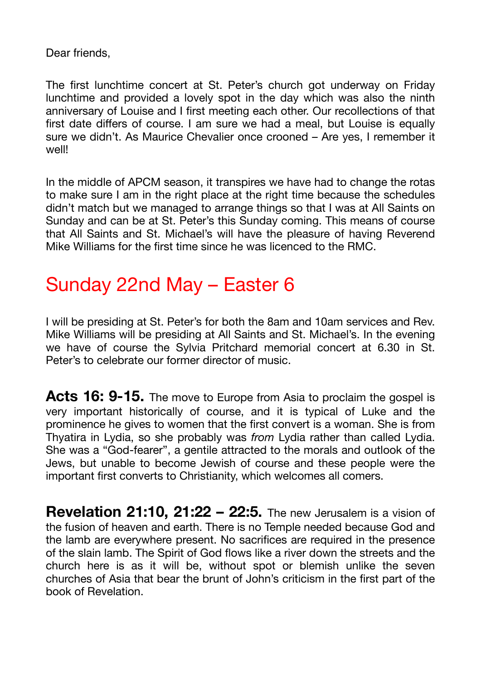Dear friends,

The first lunchtime concert at St. Peter's church got underway on Friday lunchtime and provided a lovely spot in the day which was also the ninth anniversary of Louise and I first meeting each other. Our recollections of that first date differs of course. I am sure we had a meal, but Louise is equally sure we didn't. As Maurice Chevalier once crooned – Are yes, I remember it well!

In the middle of APCM season, it transpires we have had to change the rotas to make sure I am in the right place at the right time because the schedules didn't match but we managed to arrange things so that I was at All Saints on Sunday and can be at St. Peter's this Sunday coming. This means of course that All Saints and St. Michael's will have the pleasure of having Reverend Mike Williams for the first time since he was licenced to the RMC.

## Sunday 22nd May – Easter 6

I will be presiding at St. Peter's for both the 8am and 10am services and Rev. Mike Williams will be presiding at All Saints and St. Michael's. In the evening we have of course the Sylvia Pritchard memorial concert at 6.30 in St. Peter's to celebrate our former director of music.

Acts 16: 9-15. The move to Europe from Asia to proclaim the gospel is very important historically of course, and it is typical of Luke and the prominence he gives to women that the first convert is a woman. She is from Thyatira in Lydia, so she probably was *from* Lydia rather than called Lydia. She was a "God-fearer", a gentile attracted to the morals and outlook of the Jews, but unable to become Jewish of course and these people were the important first converts to Christianity, which welcomes all comers.

**Revelation 21:10, 21:22 – 22:5.** The new Jerusalem is a vision of the fusion of heaven and earth. There is no Temple needed because God and the lamb are everywhere present. No sacrifices are required in the presence of the slain lamb. The Spirit of God flows like a river down the streets and the church here is as it will be, without spot or blemish unlike the seven churches of Asia that bear the brunt of John's criticism in the first part of the book of Revelation.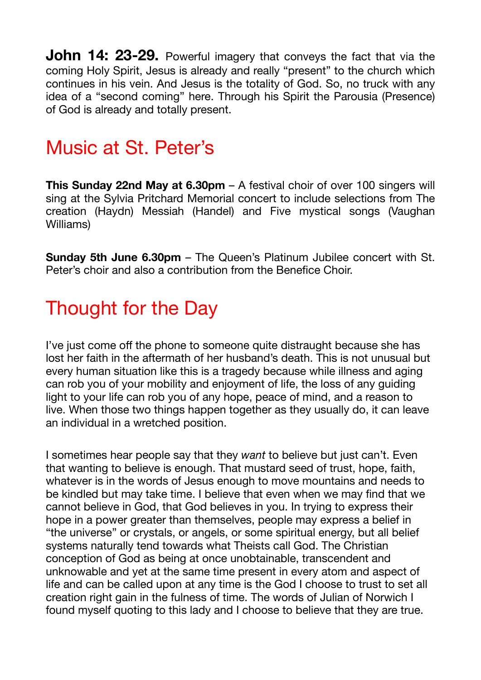**John 14: 23-29.** Powerful imagery that conveys the fact that via the coming Holy Spirit, Jesus is already and really "present" to the church which continues in his vein. And Jesus is the totality of God. So, no truck with any idea of a "second coming" here. Through his Spirit the Parousia (Presence) of God is already and totally present.

## Music at St. Peter's

**This Sunday 22nd May at 6.30pm** – A festival choir of over 100 singers will sing at the Sylvia Pritchard Memorial concert to include selections from The creation (Haydn) Messiah (Handel) and Five mystical songs (Vaughan Williams)

**Sunday 5th June 6.30pm** – The Queen's Platinum Jubilee concert with St. Peter's choir and also a contribution from the Benefice Choir.

## Thought for the Day

I've just come off the phone to someone quite distraught because she has lost her faith in the aftermath of her husband's death. This is not unusual but every human situation like this is a tragedy because while illness and aging can rob you of your mobility and enjoyment of life, the loss of any guiding light to your life can rob you of any hope, peace of mind, and a reason to live. When those two things happen together as they usually do, it can leave an individual in a wretched position.

I sometimes hear people say that they *want* to believe but just can't. Even that wanting to believe is enough. That mustard seed of trust, hope, faith, whatever is in the words of Jesus enough to move mountains and needs to be kindled but may take time. I believe that even when we may find that we cannot believe in God, that God believes in you. In trying to express their hope in a power greater than themselves, people may express a belief in "the universe" or crystals, or angels, or some spiritual energy, but all belief systems naturally tend towards what Theists call God. The Christian conception of God as being at once unobtainable, transcendent and unknowable and yet at the same time present in every atom and aspect of life and can be called upon at any time is the God I choose to trust to set all creation right gain in the fulness of time. The words of Julian of Norwich I found myself quoting to this lady and I choose to believe that they are true.